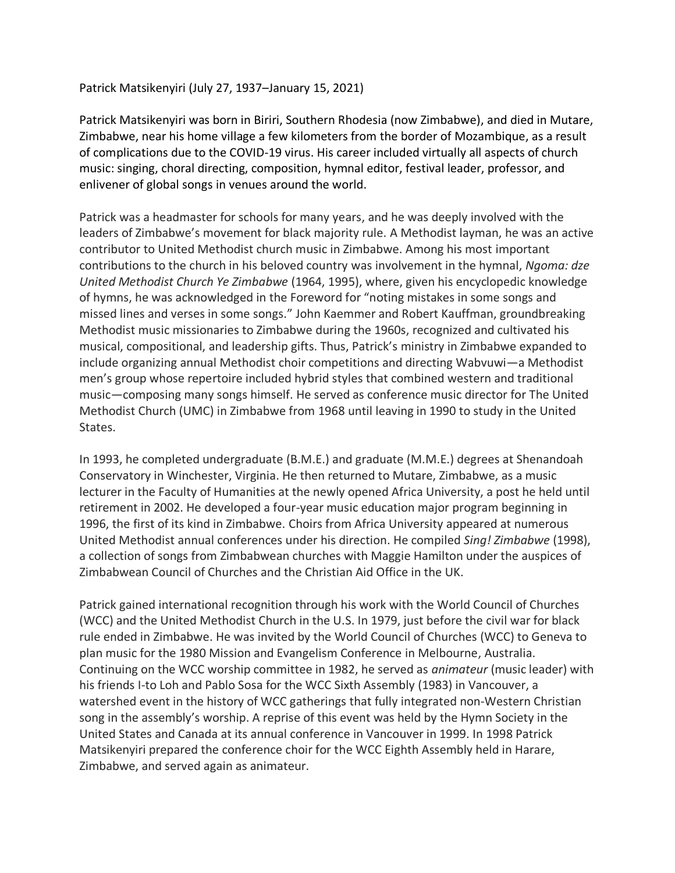Patrick Matsikenyiri (July 27, 1937–January 15, 2021)

Patrick Matsikenyiri was born in Biriri, Southern Rhodesia (now Zimbabwe), and died in Mutare, Zimbabwe, near his home village a few kilometers from the border of Mozambique, as a result of complications due to the COVID-19 virus. His career included virtually all aspects of church music: singing, choral directing, composition, hymnal editor, festival leader, professor, and enlivener of global songs in venues around the world.

Patrick was a headmaster for schools for many years, and he was deeply involved with the leaders of Zimbabwe's movement for black majority rule. A Methodist layman, he was an active contributor to United Methodist church music in Zimbabwe. Among his most important contributions to the church in his beloved country was involvement in the hymnal, *Ngoma: dze United Methodist Church Ye Zimbabwe* (1964, 1995), where, given his encyclopedic knowledge of hymns, he was acknowledged in the Foreword for "noting mistakes in some songs and missed lines and verses in some songs." John Kaemmer and Robert Kauffman, groundbreaking Methodist music missionaries to Zimbabwe during the 1960s, recognized and cultivated his musical, compositional, and leadership gifts. Thus, Patrick's ministry in Zimbabwe expanded to include organizing annual Methodist choir competitions and directing Wabvuwi—a Methodist men's group whose repertoire included hybrid styles that combined western and traditional music—composing many songs himself. He served as conference music director for The United Methodist Church (UMC) in Zimbabwe from 1968 until leaving in 1990 to study in the United States.

In 1993, he completed undergraduate (B.M.E.) and graduate (M.M.E.) degrees at Shenandoah Conservatory in Winchester, Virginia. He then returned to Mutare, Zimbabwe, as a music lecturer in the Faculty of Humanities at the newly opened Africa University, a post he held until retirement in 2002. He developed a four-year music education major program beginning in 1996, the first of its kind in Zimbabwe. Choirs from Africa University appeared at numerous United Methodist annual conferences under his direction. He compiled *Sing! Zimbabwe* (1998), a collection of songs from Zimbabwean churches with Maggie Hamilton under the auspices of Zimbabwean Council of Churches and the Christian Aid Office in the UK.

Patrick gained international recognition through his work with the World Council of Churches (WCC) and the United Methodist Church in the U.S. In 1979, just before the civil war for black rule ended in Zimbabwe. He was invited by the World Council of Churches (WCC) to Geneva to plan music for the 1980 Mission and Evangelism Conference in Melbourne, Australia. Continuing on the WCC worship committee in 1982, he served as *animateur* (music leader) with his friends I-to Loh and Pablo Sosa for the WCC Sixth Assembly (1983) in Vancouver, a watershed event in the history of WCC gatherings that fully integrated non-Western Christian song in the assembly's worship. A reprise of this event was held by the Hymn Society in the United States and Canada at its annual conference in Vancouver in 1999. In 1998 Patrick Matsikenyiri prepared the conference choir for the WCC Eighth Assembly held in Harare, Zimbabwe, and served again as animateur.